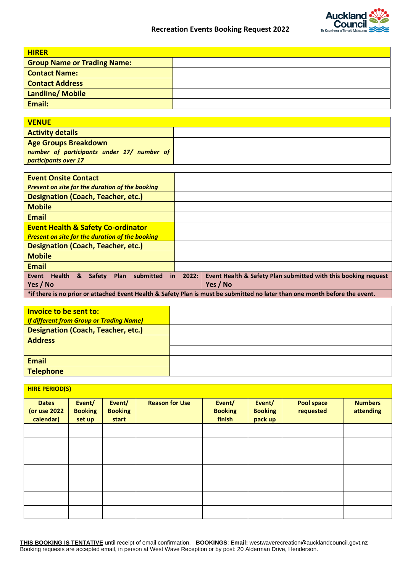

| <b>HIRER</b>                                           |  |
|--------------------------------------------------------|--|
| <b>Group Name or Trading Name:</b>                     |  |
| <b>Contact Name:</b>                                   |  |
| <b>Contact Address</b>                                 |  |
| Landline/ Mobile                                       |  |
| Email:                                                 |  |
|                                                        |  |
| <b>VENUE</b>                                           |  |
| <b>Activity details</b>                                |  |
| <b>Age Groups Breakdown</b>                            |  |
| number of participants under 17/ number of             |  |
| participants over 17                                   |  |
|                                                        |  |
| <b>Event Onsite Contact</b>                            |  |
| Present on site for the duration of the booking        |  |
| <b>Designation (Coach, Teacher, etc.)</b>              |  |
| <b>Mobile</b>                                          |  |
| <b>Email</b>                                           |  |
| <b>Event Health &amp; Safety Co-ordinator</b>          |  |
| <b>Present on site for the duration of the booking</b> |  |
| Designation (Coach Teacher etc.)                       |  |

| <u> Designation (Coach, Teacher, Etc.)</u>                                                                                  |  |                                                                                        |  |  |  |  |  |  |  |  |
|-----------------------------------------------------------------------------------------------------------------------------|--|----------------------------------------------------------------------------------------|--|--|--|--|--|--|--|--|
| <b>Mobile</b>                                                                                                               |  |                                                                                        |  |  |  |  |  |  |  |  |
| <b>Email</b>                                                                                                                |  |                                                                                        |  |  |  |  |  |  |  |  |
| Health & Safety<br>Event                                                                                                    |  | Plan submitted in 2022: Event Health & Safety Plan submitted with this booking request |  |  |  |  |  |  |  |  |
| Yes / No                                                                                                                    |  | Yes / No                                                                               |  |  |  |  |  |  |  |  |
| *if there is no prior or attached Event Health & Safety Plan is must be submitted no later than one month before the event. |  |                                                                                        |  |  |  |  |  |  |  |  |

| Invoice to be sent to:                          |  |
|-------------------------------------------------|--|
| <b>If different from Group or Trading Name)</b> |  |
| <b>Designation (Coach, Teacher, etc.)</b>       |  |
| <b>Address</b>                                  |  |
|                                                 |  |
| <b>Email</b>                                    |  |
| <b>Telephone</b>                                |  |

| <b>HIRE PERIOD(S)</b>                     |                                    |                                   |                       |                                    |                                     |                                |                             |  |  |  |  |  |  |
|-------------------------------------------|------------------------------------|-----------------------------------|-----------------------|------------------------------------|-------------------------------------|--------------------------------|-----------------------------|--|--|--|--|--|--|
| <b>Dates</b><br>(or use 2022<br>calendar) | Event/<br><b>Booking</b><br>set up | Event/<br><b>Booking</b><br>start | <b>Reason for Use</b> | Event/<br><b>Booking</b><br>finish | Event/<br><b>Booking</b><br>pack up | <b>Pool space</b><br>requested | <b>Numbers</b><br>attending |  |  |  |  |  |  |
|                                           |                                    |                                   |                       |                                    |                                     |                                |                             |  |  |  |  |  |  |
|                                           |                                    |                                   |                       |                                    |                                     |                                |                             |  |  |  |  |  |  |
|                                           |                                    |                                   |                       |                                    |                                     |                                |                             |  |  |  |  |  |  |
|                                           |                                    |                                   |                       |                                    |                                     |                                |                             |  |  |  |  |  |  |
|                                           |                                    |                                   |                       |                                    |                                     |                                |                             |  |  |  |  |  |  |
|                                           |                                    |                                   |                       |                                    |                                     |                                |                             |  |  |  |  |  |  |
|                                           |                                    |                                   |                       |                                    |                                     |                                |                             |  |  |  |  |  |  |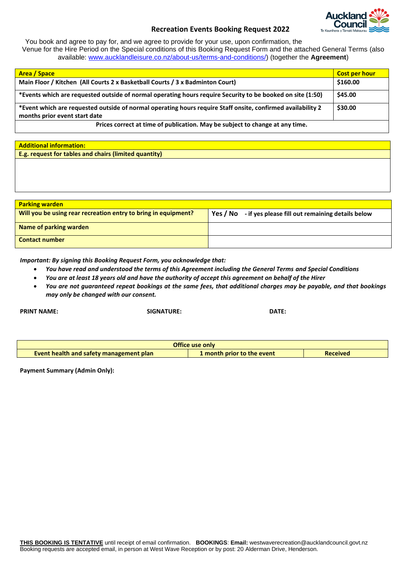

## **Recreation Events Booking Request 2022**

You book and agree to pay for, and we agree to provide for your use, upon confirmation, the Venue for the Hire Period on the Special conditions of this Booking Request Form and the attached General Terms (also available: [www.aucklandleisure.co.nz/about-us/terms-and-conditions/\)](http://www.aucklandleisure.co.nz/about-us/terms-and-conditions/) (together the **Agreement**)

| <b>Area / Space</b>                                                                                                                          | <b>Cost per hour</b> |
|----------------------------------------------------------------------------------------------------------------------------------------------|----------------------|
| Main Floor / Kitchen (All Courts 2 x Basketball Courts / 3 x Badminton Court)                                                                | \$160.00             |
| *Events which are requested outside of normal operating hours require Security to be booked on site (1:50)                                   | \$45.00              |
| *Event which are requested outside of normal operating hours require Staff onsite, confirmed availability 2<br>months prior event start date | \$30.00              |
| Prices correct at time of publication. May be subject to change at any time.                                                                 |                      |

| <b>Additional information:</b>                        |
|-------------------------------------------------------|
| E.g. request for tables and chairs (limited quantity) |
|                                                       |

| <b>Parking warden</b>                                          |                                                           |
|----------------------------------------------------------------|-----------------------------------------------------------|
| Will you be using rear recreation entry to bring in equipment? | Yes / No - if yes please fill out remaining details below |
| Name of parking warden                                         |                                                           |
| <b>Contact number</b>                                          |                                                           |

*Important: By signing this Booking Request Form, you acknowledge that:*

- *You have read and understood the terms of this Agreement including the General Terms and Special Conditions*
- *You are at least 18 years old and have the authority of accept this agreement on behalf of the Hirer*

**PRINT NAME: SIGNATURE: DATE:**

• *You are not guaranteed repeat bookings at the same fees, that additional charges may be payable, and that bookings may only be changed with our consent.*

**Office use only Event health and safety management plan 1 month prior to the event Received** 

**Payment Summary (Admin Only):**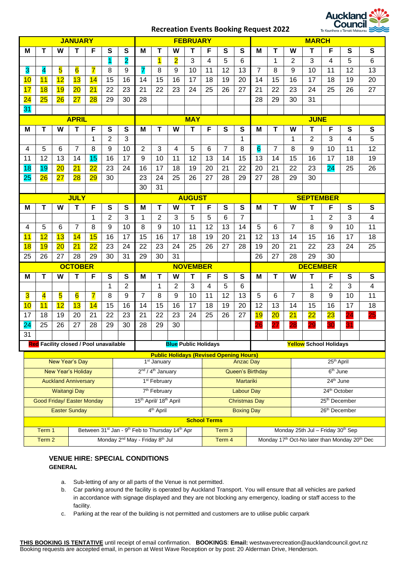# **Recreation Events Booking Request 2022**



| <b>JANUARY</b>                                                                                |                                               |                             |                |                 |                       | <b>FEBRUARY</b> |                                                |                          |                                                         | <b>MARCH</b>      |                         |                      |                   |                                   |                           |                      |                               |                 |    |           |
|-----------------------------------------------------------------------------------------------|-----------------------------------------------|-----------------------------|----------------|-----------------|-----------------------|-----------------|------------------------------------------------|--------------------------|---------------------------------------------------------|-------------------|-------------------------|----------------------|-------------------|-----------------------------------|---------------------------|----------------------|-------------------------------|-----------------|----|-----------|
| м                                                                                             | т                                             | W                           | т              | F               | S                     | S               | м                                              | т                        | w                                                       | т                 | F                       | S                    | S                 | м                                 | т                         | W                    | т                             | F               | S  | ${\bf S}$ |
|                                                                                               |                                               |                             |                |                 | $\blacksquare$        | $\overline{2}$  |                                                | $\overline{\mathbf{1}}$  | $\overline{2}$                                          | 3                 | 4                       | 5                    | 6                 |                                   | 1                         | 2                    | 3                             | 4               | 5  | 6         |
| 3                                                                                             | 4                                             | 5                           | 6              | 7               | 8                     | 9               | 7                                              | 8                        | 9                                                       | 10                | 11                      | 12                   | 13                | $\overline{7}$                    | 8                         | 9                    | 10                            | 11              | 12 | 13        |
| 10                                                                                            | 11                                            | 12                          | 13             | 14              | 15                    | 16              | 14                                             | 15                       | 16                                                      | 17                | 18                      | 19                   | 20                | 14                                | 15                        | 16                   | 17                            | 18              | 19 | 20        |
| 17                                                                                            | 18                                            | 19                          | 20             | 21              | 22                    | 23              | 21                                             | 22                       | 23                                                      | 24                | 25                      | 26                   | 27                | 21                                | 22                        | 23                   | 24                            | 25              | 26 | 27        |
| 24                                                                                            | 25                                            | 26                          | 27             | 28              | 29                    | 30              | 28                                             |                          |                                                         |                   |                         |                      |                   | 28                                | 29                        | 30                   | 31                            |                 |    |           |
| 31                                                                                            |                                               |                             |                |                 |                       |                 |                                                |                          |                                                         |                   |                         |                      |                   |                                   |                           |                      |                               |                 |    |           |
| <b>APRIL</b>                                                                                  |                                               |                             |                |                 |                       | <b>MAY</b>      |                                                |                          |                                                         |                   |                         |                      | <b>JUNE</b>       |                                   |                           |                      |                               |                 |    |           |
| м                                                                                             | Т                                             | W                           | Т              | F               | S                     | S               | М                                              | T                        | W                                                       | T                 | F                       | S                    | S                 | М                                 | T                         | W                    | т                             | F               | S  | ${\bf S}$ |
|                                                                                               |                                               |                             |                | 1               | $\overline{2}$        | 3               |                                                |                          |                                                         |                   |                         |                      | 1                 |                                   |                           | 1                    | 2                             | 3               | 4  | 5         |
| 4                                                                                             | 5                                             | 6                           | 7              | 8               | 9                     | 10              | 2                                              | 3                        | 4                                                       | 5                 | 6                       | $\overline{7}$       | 8                 | 6                                 | $\overline{7}$            | 8                    | 9                             | 10              | 11 | 12        |
| 11                                                                                            | 12                                            | 13                          | 14             | 15              | 16                    | 17              | 9                                              | 10                       | 11                                                      | 12                | 13                      | 14                   | 15                | 13                                | 14                        | 15                   | 16                            | 17              | 18 | 19        |
| 18                                                                                            | 19                                            | 20                          | 21             | $\overline{22}$ | 23                    | 24              | 16                                             | 17                       | 18                                                      | 19                | 20                      | 21                   | 22                | 20                                | 21                        | 22                   | 23                            | 24              | 25 | 26        |
| 25                                                                                            | 26                                            | 27                          | 28             | 29              | 30                    |                 | 23                                             | 24                       | 25                                                      | 26                | 27                      | 28                   | 29                | 27                                | 28                        | 29                   | 30                            |                 |    |           |
|                                                                                               |                                               |                             |                |                 |                       |                 | 30                                             | 31                       |                                                         |                   |                         |                      |                   |                                   |                           |                      |                               |                 |    |           |
|                                                                                               |                                               |                             | <b>JULY</b>    |                 |                       |                 |                                                |                          |                                                         | <b>AUGUST</b>     |                         |                      |                   |                                   |                           |                      | <b>SEPTEMBER</b>              |                 |    |           |
| М                                                                                             | T                                             | W                           | T              | F               | S                     | S               | M                                              | $\mathbf T$              | w                                                       | т                 | F                       | S                    | S                 | м                                 | T                         | W                    | т                             | F               | S  | S         |
|                                                                                               |                                               |                             |                | 1               | 2                     | 3               | 1                                              | 2                        | 3                                                       | 5                 | 5                       | 6                    | 7                 |                                   |                           |                      | 1                             | 2               | 3  | 4         |
| 4                                                                                             | 5                                             | 6                           | $\overline{7}$ | 8               | 9                     | 10              | 8                                              | 9                        | 10                                                      | 11                | 12                      | 13                   | 14                | 5                                 | 6                         | $\overline{7}$       | 8                             | 9               | 10 | 11        |
| 11                                                                                            | 12                                            | 13                          | 14             | 15              | 16                    | 17              | 15                                             | 16                       | 17                                                      | 18                | 19                      | 20                   | 21                | 12                                | 13                        | 14                   | 15                            | 16              | 17 | 18        |
| 18                                                                                            | 19                                            | 20                          | 21             | $\overline{22}$ | 23                    | 24              | 22                                             | 23                       | 24                                                      | 25                | 26                      | 27                   | 28                | 19                                | 20                        | 21                   | 22                            | 23              | 24 | 25        |
| 25                                                                                            | 26                                            | 27                          | 28             | 29              | 30                    | 31              | 29                                             | 30                       | 31                                                      |                   |                         |                      |                   | 26                                | 27                        | 28                   | 29                            | 30              |    |           |
|                                                                                               |                                               |                             | <b>OCTOBER</b> |                 |                       |                 | <b>NOVEMBER</b>                                |                          |                                                         |                   |                         |                      | <b>DECEMBER</b>   |                                   |                           |                      |                               |                 |    |           |
| M                                                                                             | T                                             | W                           | T              | F               | S                     | S               | M                                              | Т                        | W                                                       | T                 | F                       | $\mathbf{s}$         | S                 | М                                 | T                         | W                    | Т                             | F               | S  | S         |
|                                                                                               |                                               |                             |                |                 | 1                     | 2               |                                                | 1                        | 2                                                       | 3                 | 4                       | 5                    | 6                 |                                   |                           |                      | 1                             | 2               | 3  | 4         |
| 3                                                                                             | 4                                             | 5                           | 6              | $\overline{7}$  | 8                     | 9               | 7                                              | 8                        | 9                                                       | 10                | 11                      | 12                   | 13                | 5                                 | 6                         | 7                    | 8                             | 9               | 10 | 11        |
| 10                                                                                            | 11                                            | 12                          | 13             | 14              | 15                    | 16              | 14                                             | 15                       | 16                                                      | 17                | 18                      | 19                   | 20                | 12                                | 13                        | 14                   | 15                            | 16              | 17 | 18        |
| 17                                                                                            | 18<br>25                                      | 19<br>26                    | 20<br>27       | 21<br>28        | 22<br>29              | 23<br>30        | 21<br>28                                       | 22                       | 23                                                      | 24                | 25                      | 26                   | 27                | 19                                | 20                        | 21                   | 22                            | $\overline{23}$ | 24 | 25        |
| $\overline{24}$<br>31                                                                         |                                               |                             |                |                 |                       |                 |                                                | 29                       | 30                                                      |                   |                         |                      |                   | 26                                | $\overline{27}$           | 28                   | 29                            | 30              | 31 |           |
|                                                                                               | <b>Red</b> Facility closed / Pool unavailable |                             |                |                 |                       |                 |                                                |                          | <b>Blue Public Holidays</b>                             |                   |                         |                      |                   |                                   |                           |                      | <b>Yellow</b> School Holidays |                 |    |           |
|                                                                                               |                                               |                             |                |                 |                       |                 |                                                |                          | <b>Public Holidays (Revised Opening Hours)</b>          |                   |                         |                      |                   |                                   |                           |                      |                               |                 |    |           |
|                                                                                               |                                               | New Year's Day              |                |                 |                       |                 |                                                | 1 <sup>st</sup> January  |                                                         |                   |                         |                      | <b>Anzac Day</b>  | 25 <sup>th</sup> April            |                           |                      |                               |                 |    |           |
| <b>New Year's Holiday</b>                                                                     |                                               |                             |                |                 |                       |                 | 2 <sup>nd</sup> / 4 <sup>th</sup> January      |                          |                                                         |                   | <b>Queen's Birthday</b> |                      |                   |                                   |                           | 6 <sup>th</sup> June |                               |                 |    |           |
|                                                                                               |                                               | <b>Auckland Anniversary</b> |                |                 |                       |                 |                                                | 1 <sup>st</sup> February |                                                         |                   |                         | Martariki            |                   |                                   | 24 <sup>th</sup> June     |                      |                               |                 |    |           |
|                                                                                               |                                               | <b>Waitangi Day</b>         |                |                 |                       |                 |                                                | 7 <sup>th</sup> February |                                                         |                   |                         |                      | <b>Labour Day</b> |                                   | 24th October              |                      |                               |                 |    |           |
|                                                                                               | Good Friday/ Easter Monday                    |                             |                |                 |                       |                 | 15 <sup>th</sup> April/ 18 <sup>th</sup> April |                          |                                                         |                   |                         | <b>Christmas Day</b> |                   |                                   |                           |                      | 25 <sup>th</sup> December     |                 |    |           |
| <b>Easter Sunday</b>                                                                          |                                               |                             |                |                 | 4 <sup>th</sup> April |                 |                                                |                          |                                                         | <b>Boxing Day</b> |                         |                      |                   |                                   | 26 <sup>th</sup> December |                      |                               |                 |    |           |
|                                                                                               |                                               |                             |                |                 |                       |                 |                                                |                          |                                                         |                   | <b>School Terms</b>     |                      |                   |                                   |                           |                      |                               |                 |    |           |
| Between 31 <sup>st</sup> Jan - 9 <sup>th</sup> Feb to Thursday 14 <sup>th</sup> Apr<br>Term 1 |                                               |                             |                |                 |                       |                 |                                                |                          | Term 3                                                  |                   |                         |                      |                   | Monday 25th Jul - Friday 30th Sep |                           |                      |                               |                 |    |           |
| Monday 2 <sup>nd</sup> May - Friday 8 <sup>th</sup> Jul<br>Term 2                             |                                               |                             |                |                 |                       |                 |                                                |                          | Monday 17th Oct-No later than Monday 20th Dec<br>Term 4 |                   |                         |                      |                   |                                   |                           |                      |                               |                 |    |           |

# **VENUE HIRE: SPECIAL CONDITIONS GENERAL**

- a. Sub-letting of any or all parts of the Venue is not permitted.
- b. Car parking around the facility is operated by Auckland Transport. You will ensure that all vehicles are parked in accordance with signage displayed and they are not blocking any emergency, loading or staff access to the facility.
- c. Parking at the rear of the building is not permitted and customers are to utilise public carpark